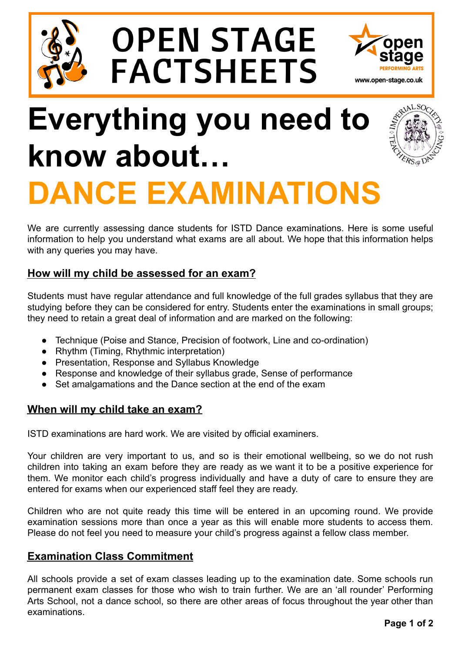

# **OPEN STAGE FACTSHEETS**



## **Everything you need to know about… DANCE EXAMINATIONS**



We are currently assessing dance students for ISTD Dance examinations. Here is some useful information to help you understand what exams are all about. We hope that this information helps with any queries you may have.

## **How will my child be assessed for an exam?**

Students must have regular attendance and full knowledge of the full grades syllabus that they are studying before they can be considered for entry. Students enter the examinations in small groups; they need to retain a great deal of information and are marked on the following:

- Technique (Poise and Stance, Precision of footwork, Line and co-ordination)
- Rhythm (Timing, Rhythmic interpretation)
- Presentation, Response and Syllabus Knowledge
- Response and knowledge of their syllabus grade, Sense of performance
- Set amalgamations and the Dance section at the end of the exam

### **When will my child take an exam?**

ISTD examinations are hard work. We are visited by official examiners.

Your children are very important to us, and so is their emotional wellbeing, so we do not rush children into taking an exam before they are ready as we want it to be a positive experience for them. We monitor each child's progress individually and have a duty of care to ensure they are entered for exams when our experienced staff feel they are ready.

Children who are not quite ready this time will be entered in an upcoming round. We provide examination sessions more than once a year as this will enable more students to access them. Please do not feel you need to measure your child's progress against a fellow class member.

## **Examination Class Commitment**

All schools provide a set of exam classes leading up to the examination date. Some schools run permanent exam classes for those who wish to train further. We are an 'all rounder' Performing Arts School, not a dance school, so there are other areas of focus throughout the year other than examinations.